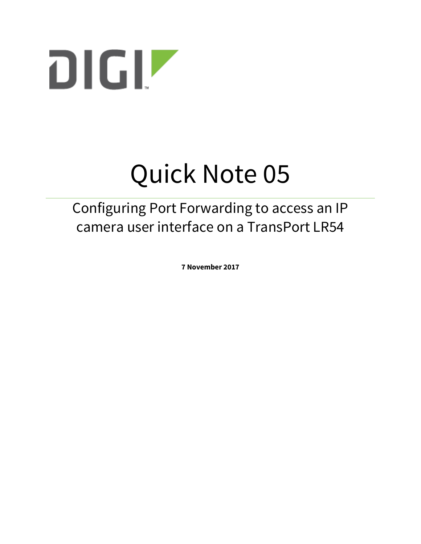

# Quick Note 05

## Configuring Port Forwarding to access an IP camera user interface on a TransPort LR54

**7 November 2017**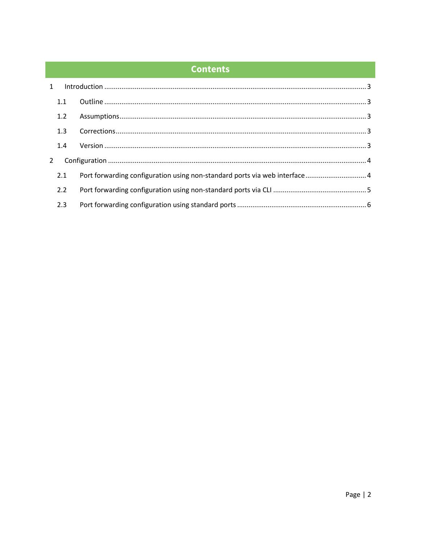## **Contents**

|   | 1.1 |                                                                            |  |
|---|-----|----------------------------------------------------------------------------|--|
|   | 1.2 |                                                                            |  |
|   | 1.3 |                                                                            |  |
|   | 1.4 |                                                                            |  |
| 2 |     |                                                                            |  |
|   | 2.1 | Port forwarding configuration using non-standard ports via web interface 4 |  |
|   | 2.2 |                                                                            |  |
|   | 2.3 |                                                                            |  |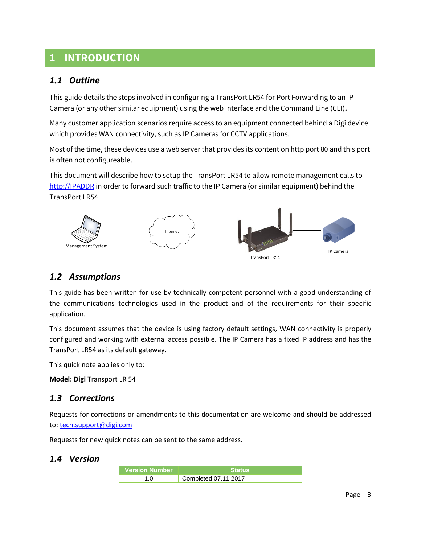## <span id="page-2-0"></span>**1 INTRODUCTION**

## <span id="page-2-1"></span>*1.1 Outline*

This guide details the steps involved in configuring a TransPort LR54 for Port Forwarding to an IP Camera (or any other similar equipment) using the web interface and the Command Line (CLI)**.**

Many customer application scenarios require access to an equipment connected behind a Digi device which provides WAN connectivity, such as IP Cameras for CCTV applications.

Most of the time, these devices use a web server that provides its content on http port 80 and this port is often not configureable.

This document will describe how to setup the TransPort LR54 to allow remote management calls to [http://IPADDR](http://ipaddr/) in order to forward such traffic to the IP Camera (or similar equipment) behind the TransPort LR54.



## <span id="page-2-2"></span>*1.2 Assumptions*

This guide has been written for use by technically competent personnel with a good understanding of the communications technologies used in the product and of the requirements for their specific application.

This document assumes that the device is using factory default settings, WAN connectivity is properly configured and working with external access possible. The IP Camera has a fixed IP address and has the TransPort LR54 as its default gateway.

This quick note applies only to:

**Model: Digi** Transport LR 54

## <span id="page-2-3"></span>*1.3 Corrections*

Requests for corrections or amendments to this documentation are welcome and should be addressed to: [tech.support@digi.com](mailto:tech.support@digi.com)

Requests for new quick notes can be sent to the same address.

## <span id="page-2-4"></span>*1.4 Version*

| <b>Nersion Number</b> ∖ | l Status'              |
|-------------------------|------------------------|
| 1.0                     | Completed $07.11.2017$ |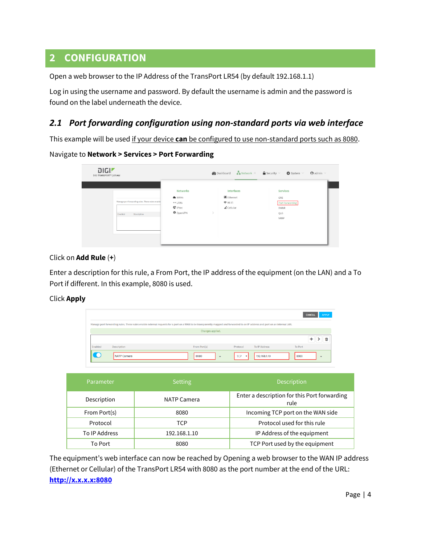## <span id="page-3-0"></span>**2 CONFIGURATION**

Open a web browser to the IP Address of the TransPort LR54 (by default 192.168.1.1)

Log in using the username and password. By default the username is admin and the password is found on the label underneath the device.

## <span id="page-3-1"></span>*2.1 Port forwarding configuration using non-standard ports via web interface*

This example will be used if your device **can** be configured to use non-standard ports such as 8080.

### Navigate to **Network > Services > Port Forwarding**

| DIGIZ<br>DIGI TRANSPORT®   LR54W                                           |                                                                           | <b>B</b> Dashboard |                                                                  | $\frac{\pi}{4}$ Network $\times$ $\qquad \bigoplus$ Security $\vee$<br>$System$ v | $\Theta$ admin $\vee$ |
|----------------------------------------------------------------------------|---------------------------------------------------------------------------|--------------------|------------------------------------------------------------------|-----------------------------------------------------------------------------------|-----------------------|
| Manage port forwarding rules. These rules enable<br>Description<br>Enabled | <b>Networks</b><br><b>WANS</b><br>← LANS<br>$C$ IPsec<br><b>Q</b> OpenVPN | $\rightarrow$      | Interfaces<br>Ethernet<br><b>全</b> Wi-Fi<br>$\triangle$ Cellular | <b>Services</b><br>GRE<br>Port Forwarding<br><b>DMNR</b><br>QoS<br>VRRP           |                       |

#### Click on **Add Rule** (**+**)

Enter a description for this rule, a From Port, the IP address of the equipment (on the LAN) and a To Port if different. In this example, 8080 is used.

### Click **Apply**

|                                                                                                                                                                               |                    |                                  |                            |               | <b>CANCEL</b> | <b>APPLY</b> |
|-------------------------------------------------------------------------------------------------------------------------------------------------------------------------------|--------------------|----------------------------------|----------------------------|---------------|---------------|--------------|
| Manage port forwarding rules. These rules enable external requests for a port on a WAN to be transparently mapped and forwarded to an IP address and port on an internal LAN. |                    |                                  |                            |               |               |              |
| Changes applied.                                                                                                                                                              |                    |                                  |                            |               |               |              |
|                                                                                                                                                                               |                    |                                  |                            |               |               |              |
| Enabled                                                                                                                                                                       | <b>Description</b> | From Port(s)                     | Protocol                   | To IP Address | To Port       |              |
|                                                                                                                                                                               | <b>NATP Camera</b> | 8080<br>$\overline{\phantom{a}}$ | <b>TCP</b><br>$\mathbf{v}$ | 192.168.1.10  | 8080          |              |

| 'Parameter    | <b>Setting</b> | Description                                          |
|---------------|----------------|------------------------------------------------------|
| Description   | NATP Camera    | Enter a description for this Port forwarding<br>rule |
| From Port(s)  | 8080           | Incoming TCP port on the WAN side                    |
| Protocol      | TCP            | Protocol used for this rule                          |
| To IP Address | 192.168.1.10   | IP Address of the equipment                          |
| To Port       | 8080           | TCP Port used by the equipment                       |

The equipment's web interface can now be reached by Opening a web browser to the WAN IP address (Ethernet or Cellular) of the TransPort LR54 with 8080 as the port number at the end of the URL: **[http://x.x.x.x:8080](http://x.x.x.x:8080/)**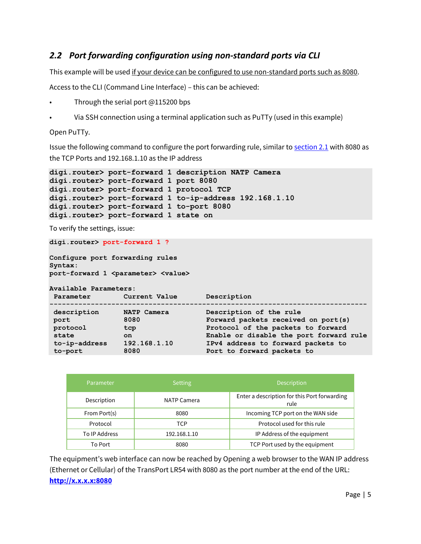## <span id="page-4-0"></span>*2.2 Port forwarding configuration using non-standard ports via CLI*

This example will be used if your device can be configured to use non-standard ports such as 8080.

Access to the CLI (Command Line Interface) – this can be achieved:

- Through the serial port @115200 bps
- Via SSH connection using a terminal application such as PuTTy (used in this example)

Open PuTTy.

Issue the following command to configure the port forwarding rule, similar to [section 2.1](#page-3-1) with 8080 as the TCP Ports and 192.168.1.10 as the IP address

```
digi.router> port-forward 1 description NATP Camera
digi.router> port-forward 1 port 8080
digi.router> port-forward 1 protocol TCP
digi.router> port-forward 1 to-ip-address 192.168.1.10
digi.router> port-forward 1 to-port 8080
digi.router> port-forward 1 state on
```
To verify the settings, issue:

```
digi.router> port-forward 1 ?
```

```
Configure port forwarding rules
Syntax:
port-forward 1 <parameter> <value>
```
**Available Parameters:**

| Parameter     | Current Value | Description                             |
|---------------|---------------|-----------------------------------------|
| description   | NATP Camera   | Description of the rule                 |
| port          | 8080          | Forward packets received on port(s)     |
| protocol      | tcp           | Protocol of the packets to forward      |
| state         | on.           | Enable or disable the port forward rule |
| to-ip-address | 192.168.1.10  | IPv4 address to forward packets to      |
| to-port       | 8080          | Port to forward packets to              |

| Parameter     | <b>Setting</b>     | <b>Description</b>                                   |
|---------------|--------------------|------------------------------------------------------|
| Description   | <b>NATP Camera</b> | Enter a description for this Port forwarding<br>rule |
| From Port(s)  | 8080               | Incoming TCP port on the WAN side                    |
| Protocol      | TCP                | Protocol used for this rule                          |
| To IP Address | 192.168.1.10       | IP Address of the equipment                          |
| To Port       | 8080               | TCP Port used by the equipment                       |

The equipment's web interface can now be reached by Opening a web browser to the WAN IP address (Ethernet or Cellular) of the TransPort LR54 with 8080 as the port number at the end of the URL: **[http://x.x.x.x:8080](http://x.x.x.x:8080/)**